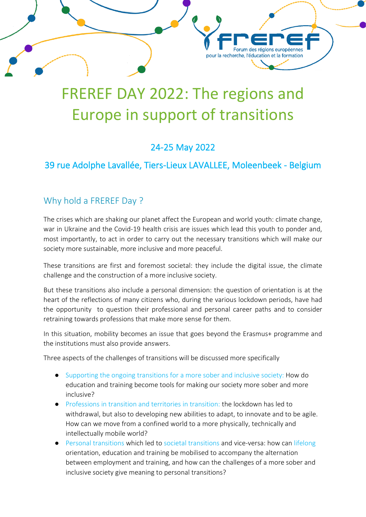# FREREF DAY 2022: The regions and Europe in support of transitions

Forum des régions européennes

pour la recherche, l'éducation et la formation

## 24-25 May 2022

## 39 rue Adolphe Lavallée, Tiers-Lieux LAVALLEE, Moleenbeek - Belgium

## Why hold a FREREF Day ?

The crises which are shaking our planet affect the European and world youth: climate change, war in Ukraine and the Covid-19 health crisis are issues which lead this youth to ponder and, most importantly, to act in order to carry out the necessary transitions which will make our society more sustainable, more inclusive and more peaceful.

These transitions are first and foremost societal: they include the digital issue, the climate challenge and the construction of a more inclusive society.

But these transitions also include a personal dimension: the question of orientation is at the heart of the reflections of many citizens who, during the various lockdown periods, have had the opportunity to question their professional and personal career paths and to consider retraining towards professions that make more sense for them.

In this situation, mobility becomes an issue that goes beyond the Erasmus+ programme and the institutions must also provide answers.

Three aspects of the challenges of transitions will be discussed more specifically

- Supporting the ongoing transitions for a more sober and inclusive society: How do education and training become tools for making our society more sober and more inclusive?
- Professions in transition and territories in transition: the lockdown has led to withdrawal, but also to developing new abilities to adapt, to innovate and to be agile. How can we move from a confined world to a more physically, technically and intellectually mobile world?
- Personal transitions which led to societal transitions and vice-versa: how can lifelong orientation, education and training be mobilised to accompany the alternation between employment and training, and how can the challenges of a more sober and inclusive society give meaning to personal transitions?